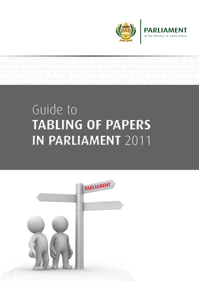

**PARI IAMENT** 

OF THE REPUBLIC OF SOU

TO TABLING OF PAPERS IN PARLIAMENT GUIDE TO TABLING OF PAPERS IN PARLIAMENT GUIDE TO TABLING OF PAPERS IN PARLIAMENT GUIDE TO TABLING OF PAPERS IN PARLIAMENT GUIDE TO TABLING OF PAPERS IN PARLIAMENT

#### PAPERS IN PARLIAMENT GUIDE TO TABLING OF PAPERS IN PARLIAMENT GUIDE TO TABLING OF PAPERS IN PARLIAMENT GUIDE TO TABLING OF PAPERS IN PARLIAMENT GUIDE TO TABLING OF PAPERS IN PARLIAMENT GUIDE TO TA-BLING OF PAPERS IN PARLIAMENT GUIDE TO TABLING OF PAPERS IN PARLIAMENT GUIDE TO TABLING OF PAPERS IN PARLIAMENT GUIDE TO TABLING OF PAPERS IN PARLIAMENT GUIDE TO TABLING OF PAPERS IN PARLIAMENT GUIDE TABLING OF PAPERS IN PAPERS IN PAPERS IN PAPERS IN PAPERS IN PAPERS IN PAPERS IN PAPERS IN PAPERS IN PAPERS IN **TARLING OF PAPERS TARLING TABLING OF PAPERS IN PARLIAMENT GUIDE TO TABLING OF PAPERS IN PARLIAMENT GUIDE TO TABLING GUIDE TO TABLI IN PARTIAMENT** 2011 **IN PARLIAMENT** 2011 Guide to



BLING OF PAPERS IN PARLIAMENT GUIDE TO TABLING OF PAPERS IN PARLIAMENT GUIDE TO TABLING OF PAPERS IN PARLIAMENT GUIDE TO TABLING OF PAPERS IN PARLIAMENT GUIDE TO TABLING OF PAPERS IN PARLIAMENT GUIDE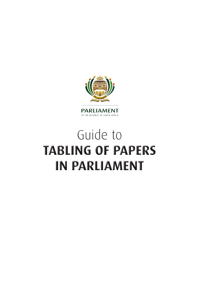

# Guide to **TABLING OF PAPERS IN PARLIAMENT**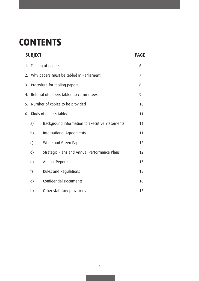## **CONTENTS**

|    | <b>SUBJECT</b>                             | <b>PAGE</b>                                    |    |
|----|--------------------------------------------|------------------------------------------------|----|
|    | 1. Tabling of papers                       |                                                | 6  |
|    | 2. Why papers must be tabled in Parliament | 7                                              |    |
|    | 3. Procedure for tabling papers            | 8                                              |    |
|    | 4. Referral of papers tabled to committees |                                                | 9  |
| 5. | Number of copies to be provided            |                                                | 10 |
|    | 6. Kinds of papers tabled                  |                                                | 11 |
|    | a)                                         | Background information to Executive Statements | 11 |
|    | b)                                         | International Agreements                       | 11 |
|    | $\mathsf{c})$                              | White and Green Papers                         | 12 |
|    | $\mathsf{d}$                               | Strategic Plans and Annual Performance Plans   | 12 |
|    | e)                                         | Annual Reports                                 | 13 |
|    | f)                                         | Rules and Regulations                          | 15 |
|    | g)                                         | <b>Confidential Documents</b>                  | 16 |
|    | h)                                         | Other statutory provisions                     | 16 |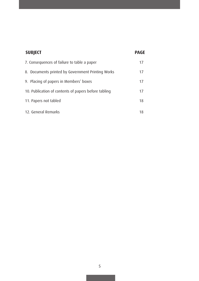| <b>SUBJECT</b>                                       | <b>PAGE</b> |  |
|------------------------------------------------------|-------------|--|
| 7. Consequences of failure to table a paper          | 17          |  |
| 8. Documents printed by Government Printing Works    | 17          |  |
| 9. Placing of papers in Members' boxes               | 17          |  |
| 10. Publication of contents of papers before tabling | 17          |  |
| 11. Papers not tabled                                | 18          |  |
| 12. General Remarks                                  | 18          |  |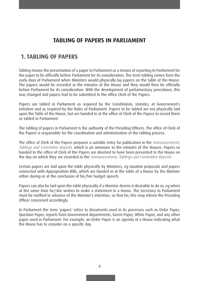## **TABLING OF PAPERS IN PARLIAMENT**

## **1. TABLING OF PAPERS**

Tabling means the presentation of a paper to Parliament as a means of reporting to Parliament for the paper to be officially before Parliament for its consideration. The term tabling comes from the early days of Parliament when Ministers would physically lay papers on the table of the House. The papers would be recorded in the minutes of the House and they would then be officially before Parliament for its consideration. With the development of parliamentary procedures, this was changed and papers had to be submitted to the office Clerk of the Papers.

Papers are tabled in Parliament as required by the Constitution, statutes, at Government's initiative and as required by the Rules of Parliament. Papers to be tabled are not physically laid upon the Table of the House, but are handed in at the office of Clerk of the Papers to record them as tabled in Parliament.

The tabling of papers in Parliament is the authority of the Presiding Officers. The office of Clerk of the Papers is responsible for the coordination and administration of the tabling process.

The office of Clerk of the Papers prepares a suitable entry for publication in the Announcements, Tablings and Committee Reports, which is an annexure to the minutes of the Houses. Papers so handed to the office of Clerk of the Papers are deemed to have been presented to the House on the day on which they are recorded in the Announcements, Tablings and Committee Reports.

Certain papers are laid upon the table physically by Ministers, eg taxation proposals and papers connected with Appropriation Bills, which are handed in at the table of a House by the Minister either during or at the conclusion of his/her budget speech.

Papers can also be laid upon the table physically if a Minister deems it desirable to do so, eg when at the same time he/she wishes to make a statement in a House. The Secretary to Parliament must be notified in advance of the Minister's intention, so that he/she may inform the Presiding Officer concerned accordingly.

In Parliament the term 'papers' refers to documents used in its processes such as Order Paper, Question Paper, reports from Government departments, Green Paper, White Paper, and any other paper used in Parliament. For example, an Order Paper is an agenda of a House indicating what the House has to consider on a specific day.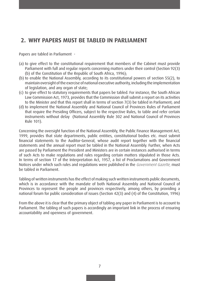## **2. WHY PAPERS MUST BE TABLED IN PARLIAMENT**

Papers are tabled in Parliament -

- (a) to give effect to the constitutional requirement that members of the Cabinet must provide Parliament with full and regular reports concerning matters under their control (Section 92(3) (b) of the Constitution of the Republic of South Africa, 1996);
- (b) to enable the National Assembly, according to its constitutional powers of section 55(2), to maintain oversight ofthe exercise of national executive authority, including the implementation of legislation, and any organ of state;
- (c) to give effect to statutory requirements that papers be tabled. For instance, the South African Law Commission Act, 1973, provides that the Commission shall submit a report on its activities to the Minister and that this report shall in terms of section 7(3) be tabled in Parliament; and
- (d) to implement the National Assembly and National Council of Provinces Rules of Parliament that require the Presiding Officers, subject to the respective Rules, to table and refer certain instruments without delay (National Assembly Rule 302 and National Council of Provinces Rule 101).

Concerning the oversight function of the National Assembly, the Public Finance Management Act, 1999, provides that state departments, public entities, constitutional bodies etc. must submit financial statements to the Auditor-General, whose audit report together with the financial statements and the annual report must be tabled in the National Assembly. Further, when Acts are passed by Parliament the President and Ministers are in certain instances authorised in terms of such Acts to make regulations and rules regarding certain matters stipulated in those Acts. In terms of section 17 of the Interpretation Act, 1957, a list of Proclamations and Government Notices under which such rules and regulations were published in the Government Gazette, must be tabled in Parliament.

Tabling of written instruments has the effect of making such written instruments public documents, which is in accordance with the mandate of both National Assembly and National Council of Provinces to represent the people and provinces respectively, among others, by providing a national forum for public consideration of issues (Section 42(3) and (4) of the Constitution, 1996)

From the above it is clear that the primary object of tabling any paper in Parliament is to account to Parliament. The tabling of such papers is accordingly an important link in the process of ensuring accountability and openness of government.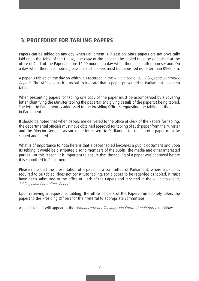## **3. PROCEDURE FOR TABLING PAPERS**

Papers can be tabled on any day when Parliament is in session. Since papers are not physically laid upon the Table of the House, one copy of the paper to be tabled must be deposited at the office of Clerk of the Papers before 12:00 noon on a day when there is an afternoon session. On a day when there is a morning session, such papers must be deposited not later than 09:00 am.

A paper is tabled on the day on which it is recorded in the Announcements, Tablings and Committee Reports. The ATC is as such a record to indicate that a paper presented to Parliament has been tabled.

When presenting papers for tabling one copy of the paper must be accompanied by a covering letter identifying the Minister tabling the paper(s) and giving details of the paper(s) being tabled. The letter to Parliament is addressed to the Presiding Officers requesting the tabling of the paper in Parliament.

It should be noted that when papers are delivered to the office of Clerk of the Papers for tabling, the departmental officials must have obtained approval for tabling of such paper from the Minister and the Director-General. As such, the letter sent to Parliament for tabling of a paper must be signed and dated.

What is of importance to note here is that a paper tabled becomes a public document and upon its tabling it would be distributed also to members of the public, the media and other interested parties. For this reason, it is important to ensure that the tabling of a paper was approved before it is submitted to Parliament.

Please note that the presentation of a paper to a committee of Parliament, where a paper is required to be tabled, does not constitute tabling. For a paper to be regarded as tabled, it must have been submitted to the office of Clerk of the Papers and recorded in the Announcements, Tablings and Committee Report.

Upon receiving a request for tabling, the office of Clerk of the Papers immediately refers the papers to the Presiding Officers for their referral to appropriate committees.

A paper tabled will appear in the Announcements, Tablings and Committee Reports as follows: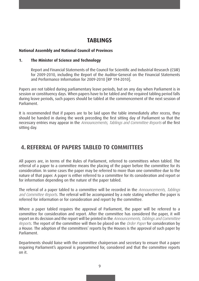## **TABLINGS**

#### **National Assembly and National Council of Provinces**

#### **1. The Minister of Science and Technology**

Report and Financial Statements of the Council for Scientific and Industrial Research (CSIR) for 2009-2010, including the Report of the Auditor-General on the Financial Statements and Performance Information for 2009-2010 [RP 194-2010].

Papers are not tabled during parliamentary leave periods, but on any day when Parliament is in session or constituency days. When papers have to be tabled and the required tabling period falls during leave periods, such papers should be tabled at the commencement of the next session of Parliament.

It is recommended that if papers are to be laid upon the table immediately after recess, they should be handed in during the week preceding the first sitting day of Parliament so that the necessary entries may appear in the Announcements, Tablings and Committee Reports of the first sitting day.

## **4. REFERRAL OF PAPERS TABLED TO COMMITTEES**

All papers are, in terms of the Rules of Parliament, referred to committees when tabled. The referral of a paper to a committee means the placing of the paper before the committee for its consideration. In some cases the paper may be referred to more than one committee due to the nature of that paper. A paper is either referred to a committee for its consideration and report or for information depending on the nature of the paper tabled.

The referral of a paper tabled to a committee will be recorded in the Announcements, Tablings and Committee Reports. The referral will be accompanied by a note stating whether the paper is referred for information or for consideration and report by the committee.

Where a paper tabled requires the approval of Parliament, the paper will be referred to a committee for consideration and report. After the committee has considered the paper, it will report on its decision and the report will be printed in the Announcements, Tablings and Committee Reports. The report of the committee will then be placed on the Order Paper for consideration by a House. The adoption of the committees' reports by the Houses is the approval of such paper by Parliament.

Departments should liaise with the committee chairperson and secretary to ensure that a paper requiring Parliament's approval is programmed for, considered and that the committee reports on it.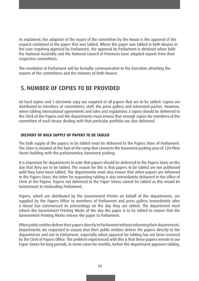As explained, the adoption of the report of the committee by the House is the approval of the request contained in the paper that was tabled. Where the paper was tabled in both Houses in the case requiring approval by Parliament, the approval by Parliament is obtained when both the National Assembly and the National Council of Provinces have adopted reports from their respective committees.

The resolution of Parliament will be formally communicated to the Executive attaching the reports of the committees and the minutes of both Houses.

## **5. NUMBER OF COPIES TO BE PROVIDED**

60 hard copies and 1 electronic copy are required of all papers that are to be tabled. Copies are distributed to members of committees, staff, the press gallery and interested parties. However, when tabling international agreements and rules and regulations 3 copies should be delivered to the Clerk of the Papers and the departments must ensure that enough copies for members of the committee of each House dealing with that particular portfolio are also delivered.

#### **DELIVERY OF BULK SUPPLY OF PAPERS TO BE TABLED**

The bulk supply of the papers to be tabled must be delivered to the Papers Store of Parliament. The Store is situated at the foot of the ramp that connects the basement parking area of 120 Plein Street building with the parliamentary basement parking.

It is important for departments to note that papers should be delivered to the Papers Store on the day that they are to be tabled. The reason for this is that papers to be tabled are not publicised until they have been tabled. The departments must also ensure that when papers are delivered to the Papers Store, the letter for requesting tabling is also immediately delivered to the office of Clerk of the Papers. Papers not delivered to the Paper Stores cannot be tabled as this would be tantamount to misleading Parliament.

Papers, which are distributed by the Government Printer on behalf of the departments, are supplied by the Papers Office to members of Parliament and press gallery immediately after a House has commenced its proceedings on the day they are tabled. The department must inform the Government Printing Works of the day the paper is to be tabled to ensure that the Government Printing Works release the paper to Parliament.

Often public entities deliver their papers directly to Parliament without informing their departments. Departments are requested to ensure that their public entities deliver the papers directly to the departments and not to Parliament, especially when approval for tabling has not been received by the Clerk of Papers Office. The problem experienced with this is that these papers remain in our Paper Stores for long periods, in some cases for months, before the department approves tabling.

10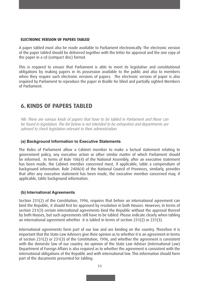#### **ELECTRONIC VERSION OF PAPERS TABLED**

A paper tabled must also be made available to Parliament electronically. The electronic version of the paper tabled should be delivered together with the letter for approval and the one copy of the paper in a cd (compact disc) format.

This is required to ensure that Parliament is able to meet its legislative and constitutional obligations by making papers in its possession available to the public and also to members when they require such electronic versions of papers. The electronic version of paper is also required by Parliament to reproduce the paper in Braille for blind and partially sighted Members of Parliament.

## **6. KINDS OF PAPERS TABLED**

NB: There are various kinds of papers that have to be tabled in Parliament and these can be found in legislation. The list below is not intended to be exhaustive and departments are advised to check legislation relevant to their administration.

#### **(a) Background Information to Executive Statements**

The Rules of Parliament allow a Cabinet member to make a factual statement relating to government policy, any executive action or other similar matter of which Parliament should be informed. In terms of Rule 106(4) of the National Assembly, after an executive statement has been made, the Cabinet member concerned must, if applicable, table a compendium of background information. Rule 240A(4) of the National Council of Provinces, similarly, provides that after any executive statement has been made, the executive member concerned may, if applicable, table background information.

#### **(b) International Agreements**

Section 231(2) of the Constitution, 1996, requires that before an international agreement can bind the Republic, it should first be approved by resolution in both Houses. However, in terms of section 231(3) certain international agreements bind the Republic without the approval thereof by both Houses, but such agreements still have to be tabled. Please indicate clearly when tabling an international agreement whether it is tabled in terms of section 231(2) or 231(3).

International agreements form part of our law and are binding on the country. Therefore it is important that the State Law Advisers give their opinion as to whether it is an agreement in terms of section 231(2) or 231(3) of the Constitution, 1996, and whether the agreement is consistent with the domestic law of our country. An opinion of the State Law Adviser (International Law) Department of Foreign Affairs is also required as to whether the agreement is consistent with the international obligations of the Republic and with international law. This information should form part of the documents presented for tabling.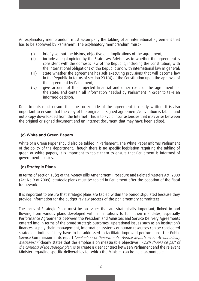An explanatory memorandum must accompany the tabling of an international agreement that has to be approved by Parliament. The explanatory memorandum must -

- (i) briefly set out the history, objective and implications of the agreement;
- (ii) include a legal opinion by the State Law Adviser as to whether the agreement is consistent with the domestic law of the Republic, including the Constitution, with the international obligations of the Republic and with international law in general;
- (iii) state whether the agreement has self-executing provisions that will become law in the Republic in terms of section 231(4) of the Constitution upon the approval of the agreement by Parliament;
- (iv) give account of the projected financial and other costs of the agreement for the state; and contain all information needed by Parliament in order to take an informed decision.

Departments must ensure that the correct title of the agreement is clearly written. It is also important to ensure that the copy of the original or signed agreement/convention is tabled and not a copy downloaded from the Internet. This is to avoid inconsistencies that may arise between the original or signed document and an Internet document that may have been edited.

#### **(c) White and Green Papers**

White or a Green Paper should also be tabled in Parliament. The White Paper informs Parliament of the policy of the department. Though there is no specific legislation requiring the tabling of green or white papers, it is important to table them to ensure that Parliament is informed of government policies.

#### **(d) Strategic Plans**

In terms of section 10(c) of the Money Bills Amendment Procedure and Related Matters Act, 2009 (Act No 9 of 2009), strategic plans must be tabled in Parliament after the adoption of the fiscal framework.

It is important to ensure that strategic plans are tabled within the period stipulated because they provide information for the budget review process of the parliamentary committees.

The focus of Strategic Plans must be on issues that are strategically important, linked to and flowing from various plans developed within institutions to fulfil their mandates, especially Performance Agreements between the President and Ministers and Service Delivery Agreements entered into in terms of the broad strategic outcomes. Operational issues such as an institution's finances, supply chain management, information systems or human resources can be considered strategic priorities if they have to be addressed to facilitate improved performance. The Public Service Commission in its report "Evaluation of Departments' Annual Reports as an Accountability Mechanism" clearly states that the emphasis on measurable objectives, which should be part of the contents of the strategic plan, is to create a clear contract between Parliament and the relevant Minister regarding specific deliverables for which the Minister can be held accountable.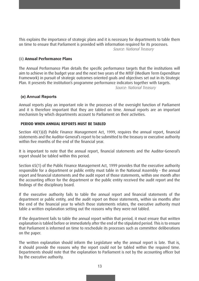This explains the importance of strategic plans and it is necessary for departments to table them on time to ensure that Parliament is provided with information required for its processes. Source: National Treasury

#### (ii) **Annual Performance Plans**

The Annual Performance Plan details the specific performance targets that the institutions will aim to achieve in the budget year and the next two years of the MTEF (Medium Term Expenditure Framework) in pursuit of strategic outcomes oriented goals and objectives set out in its Strategic Plan. It presents the institution's programme performance indicators together with targets. 

 Source: National Treasury

#### **(e) Annual Reports**

Annual reports play an important role in the processes of the oversight function of Parliament and it is therefore important that they are tabled on time. Annual reports are an important mechanism by which departments account to Parliament on their activities.

#### **PERIOD WHEN ANNUAL REPORTS MUST BE TABLED**

Section 40(1)(d) Public Finance Management Act, 1999, requires the annual report, financial statements and the Auditor-General's report to be submitted to the treasury or executive authority within five months of the end of the financial year.

It is important to note that the annual report, financial statements and the Auditor-General's report should be tabled within this period.

Section 65(1) of the Public Finance Management Act, 1999 provides that the executive authority responsible for a department or public entity must table in the National Assembly - the annual report and financial statements and the audit report of those statements, within one month after the accounting officer for the department or the public entity received the audit report and the findings of the disciplinary board.

If the executive authority fails to table the annual report and financial statements of the department or public entity, and the audit report on those statements, within six months after the end of the financial year to which those statements relates, the executive authority must table a written explanation setting out the reasons why they were not tabled.

If the department fails to table the annual report within that period, it must ensure that written explanation is tabled before or immediately after the end of the stipulated period. This is to ensure that Parliament is informed on time to reschedule its processes such as committee deliberations on the paper.

The written explanation should inform the Legislature why the annual report is late. That is, it should provide the reasons why the report could not be tabled within the required time. Departments should note that the explanation to Parliament is not by the accounting officer but by the executive authority.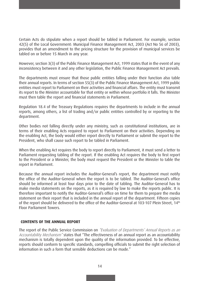Certain Acts do stipulate when a report should be tabled in Parliament. For example, section 42(5) of the Local Government: Municipal Finance Management Act, 2003 (Act No 56 of 2003), provides that an amendment to the pricing structure for the provision of municipal services be tabled on or before 15 March in any year.

However, section 3(3) of the Public Finance Management Act, 1999 states that in the event of any inconsistency between it and any other legislation, the Public Finance Management Act prevails.

The departments must ensure that those public entities falling under their function also table their annual reports. In terms of section 55(3) of the Public Finance Management Act, 1999 public entities must report to Parliament on their activities and financial affairs. The entity must transmit its report to the Minister accountable for that entity or within whose portfolio it falls. The Minister must then table the report and financial statements in Parliament.

Regulation 18.4 of the Treasury Regulations requires the departments to include in the annual reports, among others, a list of trading and/or public entities controlled by or reporting to the department.

Other bodies not falling directly under any ministry, such as constitutional institutions, are in terms of their enabling Acts required to report to Parliament on their activities. Depending on the enabling Act, the body would either report directly to Parliament or submit the report to the President, who shall cause such report to be tabled in Parliament.

When the enabling Act requires the body to report directly to Parliament, it must send a letter to Parliament requesting tabling of the report. If the enabling Act requires the body to first report to the President or a Minister, the body must request the President or the Minister to table the report in Parliament.

Because the annual report includes the Auditor-General's report, the department must notify the office of the Auditor-General when the report is to be tabled. The Auditor-General's office should be informed at least four days prior to the date of tabling. The Auditor-General has to make media statements on the reports, as it is required by law to make the reports public. It is therefore important to notify the Auditor-General's office on time for them to prepare the media statement on their report that is included in the annual report of the department. Fifteen copies of the report should be delivered to the office of the Auditor-General at 103-107 Plein Street, 14<sup>th</sup> Floor Parliament Towers.

#### **CONTENTS OF THE ANNUAL REPORT**

The report of the Public Service Commission on "Evaluation of Departments' Annual Reports as an Accountability Mechanism" states that "The effectiveness of an annual report as an accountability mechanism is totally dependent upon the quality of the information provided. To be effective, reports should conform to specific standards, compelling officials to submit the right selection of information in such a form that sensible deductions can be made."

14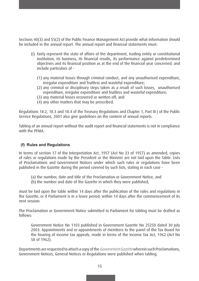Sections 40(3) and 55(2) of the Public Finance Management Act provide what information should be included in the annual report. The annual report and financial statements must:

- (i) fairly represent the state of affairs of the department, trading entity or constitutional institution, its business, its financial results, its performance against predetermined objectives and its financial position as at the end of the financial year concerned; and include particulars of -
	- (1) any material losses through criminal conduct, and any unauthorised expenditure, irregular expenditure and fruitless and wasteful expenditure;
	- (2) any criminal or disciplinary steps taken as a result of such losses, unauthorised expenditure, irregular expenditure and fruitless and wasteful expenditure;
	- (3) any material losses recovered or written off; and
	- (4) any other matters that may be prescribed.

Regulations 18.2, 18.3 and 18.4 of the Treasury Regulations and Chapter 1, Part III J of the Public Service Regulations, 2001 also give guidelines on the content of annual reports.

Tabling of an annual report without the audit report and financial statements is not in compliance with the PFMA.

#### **(f) Rules and Regulations**

In terms of section 17 of the Interpretation Act, 1957 (Act No 33 of 1957) as amended, copies of rules or regulations made by the President or the Minister are not laid upon the Table. Lists of Proclamations and Government Notices under which such rules or regulations have been published in the Gazette during the period covered by such lists, stating in each case -

- (a) the number, date and title of the Proclamation or Government Notice, and
- (b) the number and date of the Gazette in which they were published,

must be laid upon the table within 14 days after the publication of the rules and regulations in the Gazette, or if Parliament is in a leave period, within 14 days after the commencement of its next session.

The Proclamation or Government Notice submitted to Parliament for tabling must be drafted as follows:

Government Notice No 1103 published in Government Gazette No 25250 dated 30 July 2003: Appointments and re-appointments of members to the panel of the Tax Board for the hearing of income tax appeals, made in terms of the Income Tax Act, 1962 (Act No 58 of 1962).

Departments are requested to attach a copy of the Government Gazette wherein such Proclamations, Government Notices, General Notices or Regulations were published when tabling.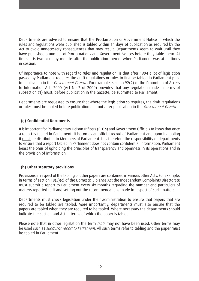Departments are advised to ensure that the Proclamation or Government Notice in which the rules and regulations were published is tabled within 14 days of publication as required by the Act to avoid unnecessary consequences that may result. Departments seem to wait until they have published a number of Proclamations and Government Notices before they table them. At times it is two or many months after the publication thereof when Parliament was at all times in session.

Of importance to note with regard to rules and regulation, is that after 1994 a lot of legislation passed by Parliament requires the draft regulations or rules to first be tabled in Parliament prior to publication in the *Government Gazette*. For example, section 92(2) of the Promotion of Access to Information Act, 2000 (Act No 2 of 2000) provides that any regulation made in terms of subsection (1) must, before publication in the Gazette, be submitted to Parliament.

Departments are requested to ensure that where the legislation so requires, the draft regulations or rules must be tabled before publication and not after publication in the Government Gazette.

#### **(g) Confidential Documents**

It is important for Parliamentary Liaison Officers (PLO's) and Government Officials to know that once a report is tabled in Parliament, it becomes an official record of Parliament and upon its tabling it must be distributed to Members of Parliament. It is therefore the responsibility of departments to ensure that a report tabled in Parliament does not contain confidential information. Parliament bears the onus of upholding the principles of transparency and openness in its operations and in the provision of information.

#### **(h) Other statutory provisions**

Provisions in respect of the tabling of other papers are contained in various other Acts. For example, in terms of section 18(5)(c) of the Domestic Violence Act the Independent Complaints Directorate must submit a report to Parliament every six months regarding the number and particulars of matters reported to it and setting out the recommendations made in respect of such matters.

Departments must check legislation under their administration to ensure that papers that are required to be tabled are tabled. More importantly, departments must also ensure that the papers are tabled when they are required to be tabled. Where necessary the departments should indicate the section and Act in terms of which the paper is tabled.

Please note that in other legislation the term *table* may not have been used. Other terms may be used such as *submit* or *report to Parliament*. All such terms refer to tabling and the paper must be tabled in Parliament.

16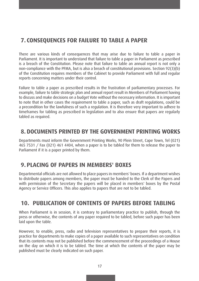## **7. CONSEQUENCES FOR FAILURE TO TABLE A PAPER**

There are various kinds of consequences that may arise due to failure to table a paper in Parliament. It is important to understand that failure to table a paper in Parliament as prescribed is a breach of the Constitution. Please note that failure to table an annual report is not only a non-compliance with the PFMA, but is also a breach of constitutional provisions. Section 92(3)(b) of the Constitution requires members of the Cabinet to provide Parliament with full and regular reports concerning matters under their control.

Failure to table a paper as prescribed results in the frustration of parliamentary processes. For example, failure to table strategic plan and annual report result in Members of Parliament having to discuss and make decisions on a budget Vote without the necessary information. It is important to note that in other cases the requirement to table a paper, such as draft regulations, could be a precondition for the lawfulness of such a regulation. It is therefore very important to adhere to timeframes for tabling as prescribed in legislation and to also ensure that papers are regularly tabled as required.

### **8. DOCUMENTS PRINTED BY THE GOVERNMENT PRINTING WORKS**

Departments must inform the Government Printing Works, 90 Plein Street, Cape Town, Tel (021) 465 7531 / Fax (021) 461 4404, when a paper is to be tabled for them to release the paper to Parliament if it is a paper printed by them.

## **9. PLACING OF PAPERS IN MEMBERS' BOXES**

Departmental officials are not allowed to place papers in members' boxes. If a department wishes to distribute papers among members, the paper must be handed to the Clerk of the Papers and with permission of the Secretary the papers will be placed in members' boxes by the Postal Agency or Service Officers. This also applies to papers that are not to be tabled.

## **10. PUBLICATION OF CONTENTS OF PAPERS BEFORE TABLING**

When Parliament is in session, it is contrary to parliamentary practice to publish, through the press or otherwise, the contents of any paper required to be tabled, before such paper has been laid upon the table.

However, to enable, press, radio and television representatives to prepare their reports, it is practice for departments to make copies of a paper available to such representatives on condition that its contents may not be published before the commencement of the proceedings of a House on the day on which it is to be tabled. The time at which the contents of the paper may be published must be clearly indicated on such paper.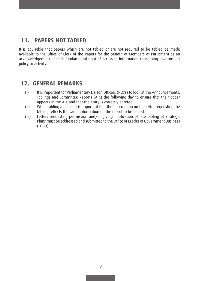## **11. PAPERS NOT TABLED**

It is advisable that papers which are not tabled or are not required to be tabled be made available to the Office of Clerk of the Papers for the benefit of Members of Parliament as an acknowledgement of their fundamental right of access to information concerning government policy or activity.

## **12. GENERAL REMARKS**

- (i) It is important for Parliamentary Liaison Officers (PLO's) to look at the Announcements, Tablings and Committee Reports (ATC) the following day to ensure that their paper appears in the ATC and that the entry is correctly entered.
- (ii) When tabling a paper, it is important that the information on the letter requesting the tabling reflects the same information on the report to be tabled.
- (iii) Letters requesting permission and/or giving notification of late tabling of Strategic Plans must be addressed and submitted to the Office of Leader of Government Business (LOGB).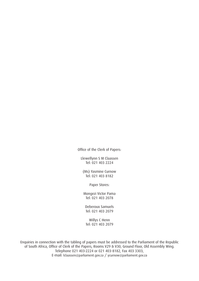Office of the Clerk of Papers:

Llewellynn S M Claassen Tel: 021 403 2224

(Ms) Yasmine Curnow Tel: 021 403 8182

Paper Stores:

Mongezi Victor Pama Tel: 021 403 2078

Deberoux Samuels Tel: 021 403 2079

Willys C Henn Tel: 021 403 2079

Enquiries in connection with the tabling of papers must be addressed to the Parliament of the Republic of South Africa, Office of Clerk of the Papers, Rooms V29 & V30, Ground Floor, Old Assembly Wing. Telephone 021 403-2224 or 021 403-8182, Fax 403 3303, E-mail: lclaassen@parliament.gov.za / ycurnow@parliament.gov.za